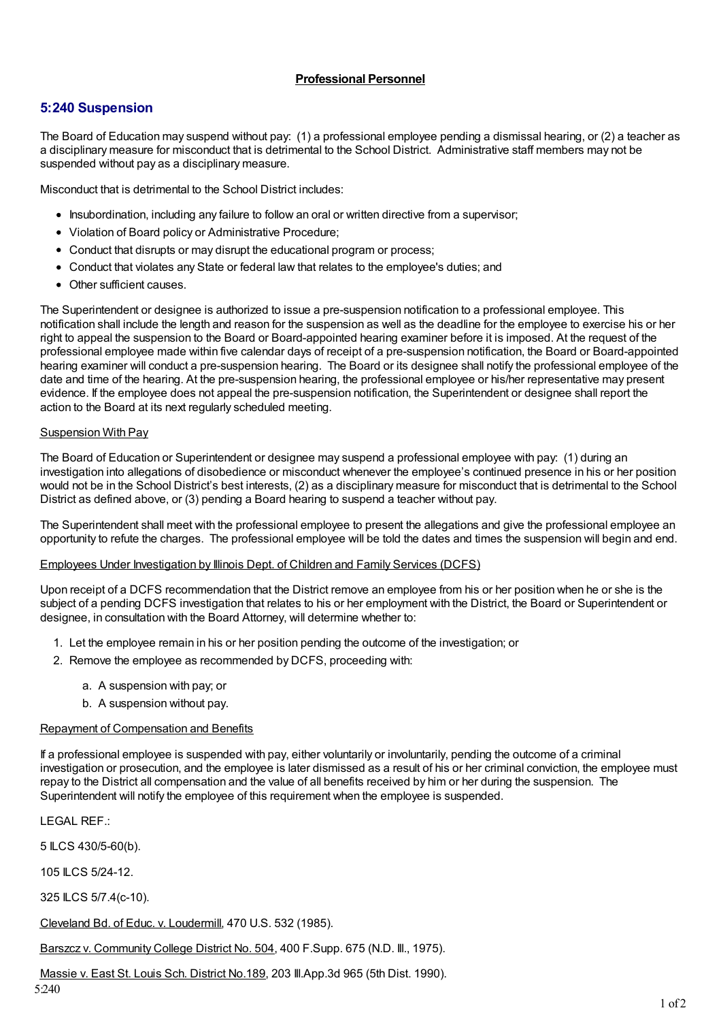## **Professional Personnel**

## **5:240 Suspension**

The Board of Education may suspend without pay: (1) a professional employee pending a dismissal hearing, or (2) a teacher as a disciplinary measure for misconduct that is detrimental to the School District. Administrative staff members may not be suspended without pay as a disciplinary measure.

Misconduct that is detrimental to the School District includes:

- Insubordination, including any failure to follow an oral or written directive from a supervisor;
- Violation of Board policy or Administrative Procedure;
- Conduct that disrupts or may disrupt the educational program or process:
- Conduct that violates any State or federal law that relates to the employee's duties; and
- Other sufficient causes.

The Superintendent or designee is authorized to issue a pre-suspension notification to a professional employee. This notification shall include the length and reason for the suspension as well as the deadline for the employee to exercise his or her right to appeal the suspension to the Board or Board-appointed hearing examiner before it is imposed. At the request of the professional employee made within five calendar days of receipt of a pre-suspension notification, the Board or Board-appointed hearing examiner will conduct a pre-suspension hearing. The Board or its designee shall notify the professional employee of the date and time of the hearing. At the pre-suspension hearing, the professional employee or his/her representative may present evidence. If the employee does not appeal the pre-suspension notification, the Superintendent or designee shall report the action to the Board at its next regularly scheduled meeting.

#### Suspension With Pay

The Board of Education or Superintendent or designee may suspend a professional employee with pay: (1) during an investigation into allegations of disobedience or misconduct whenever the employee's continued presence in his or her position would not be in the School District's best interests, (2) as a disciplinary measure for misconduct that is detrimental to the School District as defined above, or (3) pending a Board hearing to suspend a teacher without pay.

The Superintendent shall meet with the professional employee to present the allegations and give the professional employee an opportunity to refute the charges. The professional employee will be told the dates and times the suspension will begin and end.

#### Employees Under Investigation by Illinois Dept. of Children and Family Services (DCFS)

Upon receipt of a DCFS recommendation that the District remove an employee from his or her position when he or she is the subject of a pending DCFS investigation that relates to his or her employment with the District, the Board or Superintendent or designee, in consultation with the Board Attorney, will determine whether to:

- 1. Let the employee remain in his or her position pending the outcome of the investigation; or
- 2. Remove the employee as recommended by DCFS, proceeding with:
	- a. A suspension with pay; or
	- b. A suspension without pay.

### Repayment of Compensation and Benefits

If a professional employee is suspended with pay, either voluntarily or involuntarily, pending the outcome of a criminal investigation or prosecution, and the employee is later dismissed as a result of his or her criminal conviction, the employee must repay to the District all compensation and the value of all benefits received by him or her during the suspension. The Superintendent will notify the employee of this requirement when the employee is suspended.

LEGAL REF.:

5 ILCS 430/5-60(b).

105 ILCS 5/24-12.

325 ILCS 5/7.4(c-10).

Cleveland Bd. of Educ. v. Loudermill, 470 U.S. 532 (1985).

Barszcz v. Community College District No. 504, 400 F. Supp. 675 (N.D. III., 1975).

Massie v. East St. Louis Sch. District No.189, 203 Ill.App.3d 965 (5th Dist. 1990).